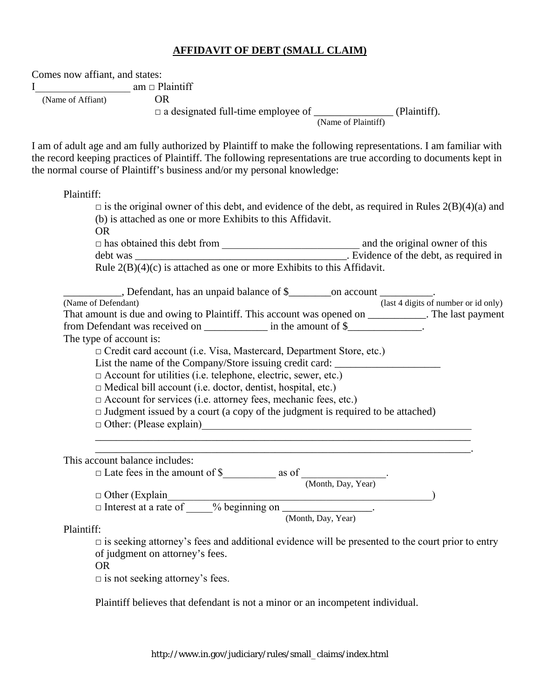## **AFFIDAVIT OF DEBT (SMALL CLAIM)**

Comes now affiant, and states:

I am □ Plaintiff

(Name of Affiant) OR

□ a designated full-time employee of \_\_\_\_\_\_\_\_\_\_\_\_\_\_\_ (Plaintiff).

(Name of Plaintiff)

I am of adult age and am fully authorized by Plaintiff to make the following representations. I am familiar with the record keeping practices of Plaintiff. The following representations are true according to documents kept in the normal course of Plaintiff's business and/or my personal knowledge:

Plaintiff:

| $\Box$ is the original owner of this debt, and evidence of the debt, as required in Rules 2(B)(4)(a) and |                                      |
|----------------------------------------------------------------------------------------------------------|--------------------------------------|
| (b) is attached as one or more Exhibits to this Affidavit.                                               |                                      |
| <b>OR</b>                                                                                                |                                      |
|                                                                                                          |                                      |
|                                                                                                          |                                      |
| Rule $2(B)(4)(c)$ is attached as one or more Exhibits to this Affidavit.                                 |                                      |
| Defendant, has an unpaid balance of \$                                                                   |                                      |
| (Name of Defendant)                                                                                      | (last 4 digits of number or id only) |
| That amount is due and owing to Plaintiff. This account was opened on __________. The last payment       |                                      |
| from Defendant was received on _____________ in the amount of \$_____________.                           |                                      |
| The type of account is:                                                                                  |                                      |
| □ Credit card account (i.e. Visa, Mastercard, Department Store, etc.)                                    |                                      |
| List the name of the Company/Store issuing credit card: _________________________                        |                                      |
| □ Account for utilities (i.e. telephone, electric, sewer, etc.)                                          |                                      |
| $\Box$ Medical bill account (i.e. doctor, dentist, hospital, etc.)                                       |                                      |
| $\Box$ Account for services (i.e. attorney fees, mechanic fees, etc.)                                    |                                      |
| $\Box$ Judgment issued by a court (a copy of the judgment is required to be attached)                    |                                      |
| $\Box$ Other: (Please explain)                                                                           |                                      |
|                                                                                                          |                                      |
| This account balance includes:                                                                           |                                      |
|                                                                                                          |                                      |
|                                                                                                          |                                      |
|                                                                                                          |                                      |
| □ Other (Explain<br>□ Interest at a rate of ____% beginning on _______________.                          |                                      |
| (Month, Day, Year)                                                                                       |                                      |
| Plaintiff:                                                                                               |                                      |

 $\Box$  is seeking attorney's fees and additional evidence will be presented to the court prior to entry of judgment on attorney's fees.

OR

 $\Box$  is not seeking attorney's fees.

Plaintiff believes that defendant is not a minor or an incompetent individual.